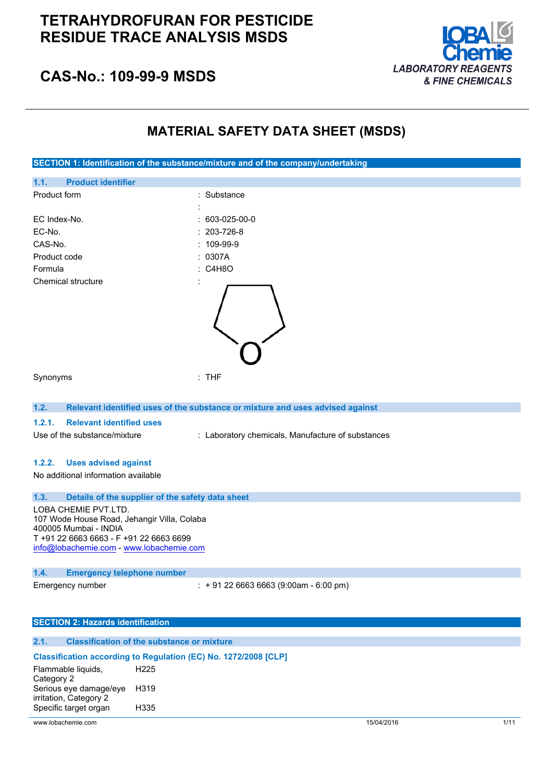# **TETRAHYDROFURAN FOR PESTICIDE RESIDUE TRACE ANALYSIS MSDS**



# **CAS-No.: 109-99-9 MSDS**

# **MATERIAL SAFETY DATA SHEET (MSDS)**



## **1.2. Relevant identified uses of the substance or mixture and uses advised against**

## **1.2.1. Relevant identified uses**

Use of the substance/mixture : Laboratory chemicals, Manufacture of substances

## **1.2.2. Uses advised against**

No additional information available

## **1.3. Details of the supplier of the safety data sheet**

LOBA CHEMIE PVT.LTD. 107 Wode House Road, Jehangir Villa, Colaba 400005 Mumbai - INDIA T +91 22 6663 6663 - F +91 22 6663 6699 [info@lobachemie.com](mailto:info@lobachemie.com) - <www.lobachemie.com>

# **1.4. Emergency telephone number**

Emergency number : + 91 22 6663 6663 (9:00am - 6:00 pm)

#### **SECTION 2: Hazards identification**

#### **2.1. Classification of the substance or mixture**

# **Classification according to Regulation (EC) No. 1272/2008 [CLP]**

| Flammable liquids,     | H <sub>225</sub>  |  |
|------------------------|-------------------|--|
| Category 2             |                   |  |
| Serious eye damage/eye | H <sub>3</sub> 19 |  |
| irritation, Category 2 |                   |  |
| Specific target organ  | H335              |  |
|                        |                   |  |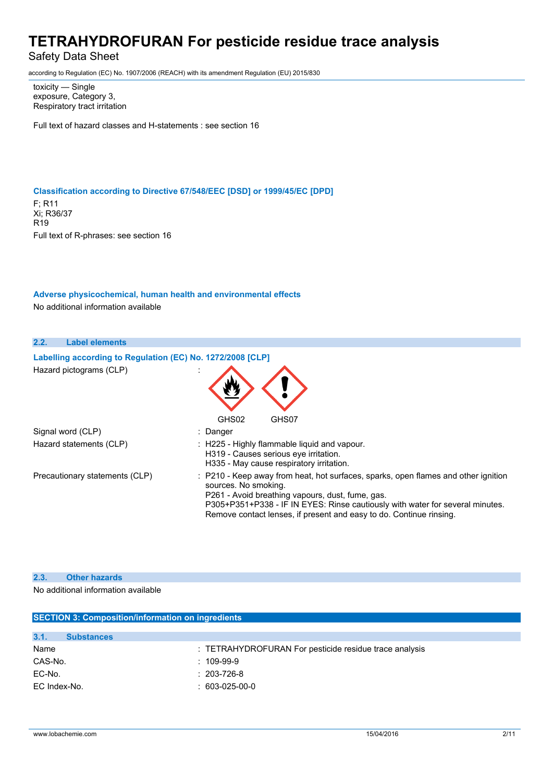# Safety Data Sheet

according to Regulation (EC) No. 1907/2006 (REACH) with its amendment Regulation (EU) 2015/830

toxicity — Single exposure, Category 3, Respiratory tract irritation

Full text of hazard classes and H-statements : see section 16

## **Classification according to Directive 67/548/EEC [DSD] or 1999/45/EC [DPD]**

F; R11 Xi; R36/37 R19 Full text of R-phrases: see section 16

## **Adverse physicochemical, human health and environmental effects**

No additional information available

| 2.2.<br><b>Label elements</b>                              |                                                                                                                                                                                                                                                                                                                        |
|------------------------------------------------------------|------------------------------------------------------------------------------------------------------------------------------------------------------------------------------------------------------------------------------------------------------------------------------------------------------------------------|
| Labelling according to Regulation (EC) No. 1272/2008 [CLP] |                                                                                                                                                                                                                                                                                                                        |
| Hazard pictograms (CLP)                                    | GHS02<br>GHS07                                                                                                                                                                                                                                                                                                         |
| Signal word (CLP)                                          | : Danger                                                                                                                                                                                                                                                                                                               |
| Hazard statements (CLP)                                    | : H225 - Highly flammable liquid and vapour.<br>H319 - Causes serious eye irritation.<br>H335 - May cause respiratory irritation.                                                                                                                                                                                      |
| Precautionary statements (CLP)                             | : P210 - Keep away from heat, hot surfaces, sparks, open flames and other ignition<br>sources. No smoking.<br>P261 - Avoid breathing vapours, dust, fume, gas.<br>P305+P351+P338 - IF IN EYES: Rinse cautiously with water for several minutes.<br>Remove contact lenses, if present and easy to do. Continue rinsing. |

## **2.3. Other hazards**

No additional information available

| <b>SECTION 3: Composition/information on ingredients</b> |                                                        |  |  |
|----------------------------------------------------------|--------------------------------------------------------|--|--|
|                                                          |                                                        |  |  |
| 3.1.<br><b>Substances</b>                                |                                                        |  |  |
| Name                                                     | : TETRAHYDROFURAN For pesticide residue trace analysis |  |  |
| CAS-No.                                                  | $: 109-99-9$                                           |  |  |
| EC-No.                                                   | $: 203 - 726 - 8$                                      |  |  |
| EC Index-No.                                             | $: 603-025-00-0$                                       |  |  |
|                                                          |                                                        |  |  |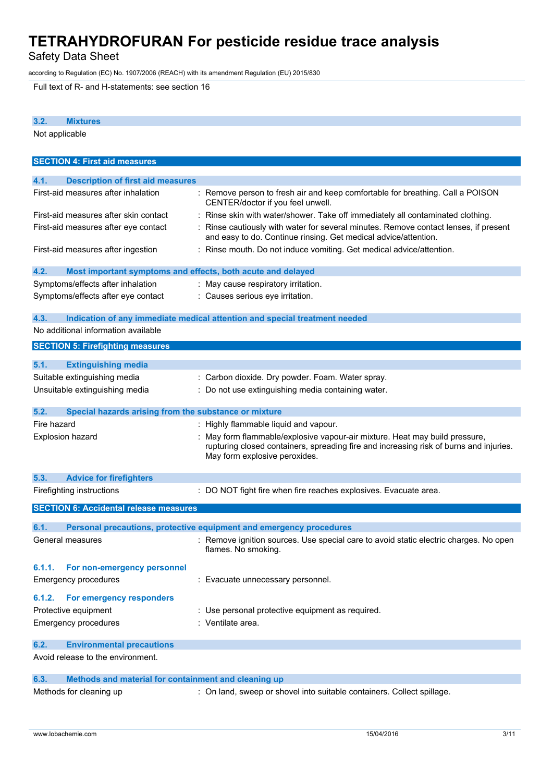Safety Data Sheet

according to Regulation (EC) No. 1907/2006 (REACH) with its amendment Regulation (EU) 2015/830

Full text of R- and H-statements: see section 16

| 3.2.<br><b>Mixtures</b>                                             |                                                                                                                                                                                                      |
|---------------------------------------------------------------------|------------------------------------------------------------------------------------------------------------------------------------------------------------------------------------------------------|
| Not applicable                                                      |                                                                                                                                                                                                      |
|                                                                     |                                                                                                                                                                                                      |
| <b>SECTION 4: First aid measures</b>                                |                                                                                                                                                                                                      |
|                                                                     |                                                                                                                                                                                                      |
| 4.1.<br><b>Description of first aid measures</b>                    |                                                                                                                                                                                                      |
| First-aid measures after inhalation                                 | : Remove person to fresh air and keep comfortable for breathing. Call a POISON<br>CENTER/doctor if you feel unwell.                                                                                  |
| First-aid measures after skin contact                               | : Rinse skin with water/shower. Take off immediately all contaminated clothing.                                                                                                                      |
| First-aid measures after eye contact                                | Rinse cautiously with water for several minutes. Remove contact lenses, if present<br>and easy to do. Continue rinsing. Get medical advice/attention.                                                |
| First-aid measures after ingestion                                  | : Rinse mouth. Do not induce vomiting. Get medical advice/attention.                                                                                                                                 |
| 4.2.<br>Most important symptoms and effects, both acute and delayed |                                                                                                                                                                                                      |
| Symptoms/effects after inhalation                                   | : May cause respiratory irritation.                                                                                                                                                                  |
| Symptoms/effects after eye contact                                  | : Causes serious eye irritation.                                                                                                                                                                     |
|                                                                     |                                                                                                                                                                                                      |
| 4.3.                                                                | Indication of any immediate medical attention and special treatment needed                                                                                                                           |
| No additional information available                                 |                                                                                                                                                                                                      |
|                                                                     |                                                                                                                                                                                                      |
| <b>SECTION 5: Firefighting measures</b>                             |                                                                                                                                                                                                      |
| 5.1.<br><b>Extinguishing media</b>                                  |                                                                                                                                                                                                      |
| Suitable extinguishing media                                        | : Carbon dioxide. Dry powder. Foam. Water spray.                                                                                                                                                     |
| Unsuitable extinguishing media                                      | Do not use extinguishing media containing water.                                                                                                                                                     |
|                                                                     |                                                                                                                                                                                                      |
| 5.2.<br>Special hazards arising from the substance or mixture       |                                                                                                                                                                                                      |
| Fire hazard                                                         | : Highly flammable liquid and vapour.                                                                                                                                                                |
| <b>Explosion hazard</b>                                             | May form flammable/explosive vapour-air mixture. Heat may build pressure,<br>rupturing closed containers, spreading fire and increasing risk of burns and injuries.<br>May form explosive peroxides. |
| 5.3.<br><b>Advice for firefighters</b>                              |                                                                                                                                                                                                      |
| Firefighting instructions                                           | : DO NOT fight fire when fire reaches explosives. Evacuate area.                                                                                                                                     |
|                                                                     |                                                                                                                                                                                                      |
| <b>SECTION 6: Accidental release measures</b>                       |                                                                                                                                                                                                      |
| 6.1.                                                                | Personal precautions, protective equipment and emergency procedures                                                                                                                                  |
| General measures                                                    | Remove ignition sources. Use special care to avoid static electric charges. No open<br>flames. No smoking.                                                                                           |
| For non-emergency personnel<br>6.1.1.                               |                                                                                                                                                                                                      |
| Emergency procedures                                                | : Evacuate unnecessary personnel.                                                                                                                                                                    |
|                                                                     |                                                                                                                                                                                                      |
| For emergency responders<br>6.1.2.                                  |                                                                                                                                                                                                      |
| Protective equipment                                                | : Use personal protective equipment as required.                                                                                                                                                     |
| <b>Emergency procedures</b>                                         | : Ventilate area.                                                                                                                                                                                    |
|                                                                     |                                                                                                                                                                                                      |
| 6.2.<br><b>Environmental precautions</b>                            |                                                                                                                                                                                                      |
| Avoid release to the environment.                                   |                                                                                                                                                                                                      |
| Methods and material for containment and cleaning up<br>6.3.        |                                                                                                                                                                                                      |
| Methods for cleaning up                                             | : On land, sweep or shovel into suitable containers. Collect spillage.                                                                                                                               |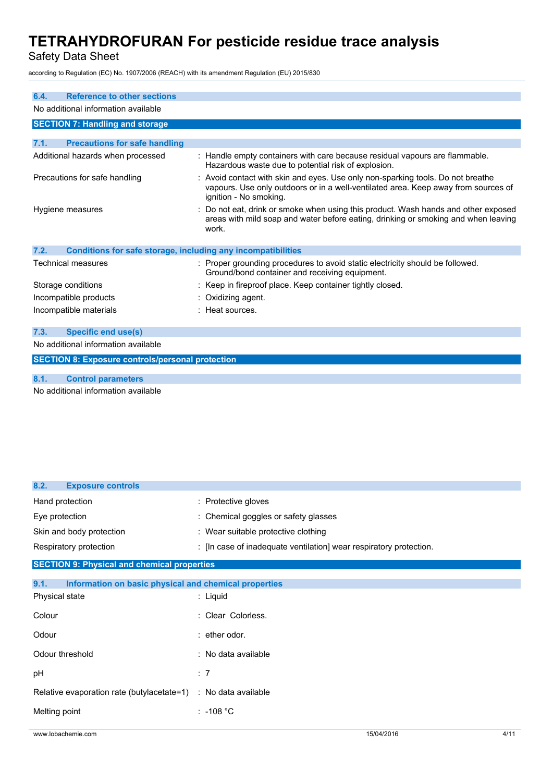Safety Data Sheet

according to Regulation (EC) No. 1907/2006 (REACH) with its amendment Regulation (EU) 2015/830

| <b>Reference to other sections</b><br>6.4.                           |                                                                                                                                                                                                 |  |  |
|----------------------------------------------------------------------|-------------------------------------------------------------------------------------------------------------------------------------------------------------------------------------------------|--|--|
| No additional information available                                  |                                                                                                                                                                                                 |  |  |
| <b>SECTION 7: Handling and storage</b>                               |                                                                                                                                                                                                 |  |  |
| <b>Precautions for safe handling</b><br>7.1.                         |                                                                                                                                                                                                 |  |  |
| Additional hazards when processed                                    | Handle empty containers with care because residual vapours are flammable.<br>Hazardous waste due to potential risk of explosion.                                                                |  |  |
| Precautions for safe handling                                        | : Avoid contact with skin and eyes. Use only non-sparking tools. Do not breathe<br>vapours. Use only outdoors or in a well-ventilated area. Keep away from sources of<br>ignition - No smoking. |  |  |
| Hygiene measures                                                     | Do not eat, drink or smoke when using this product. Wash hands and other exposed<br>areas with mild soap and water before eating, drinking or smoking and when leaving<br>work.                 |  |  |
| 7.2.<br>Conditions for safe storage, including any incompatibilities |                                                                                                                                                                                                 |  |  |
| <b>Technical measures</b>                                            | : Proper grounding procedures to avoid static electricity should be followed.<br>Ground/bond container and receiving equipment.                                                                 |  |  |
| Storage conditions                                                   | Keep in fireproof place. Keep container tightly closed.                                                                                                                                         |  |  |
| Incompatible products                                                | $:$ Oxidizing agent.                                                                                                                                                                            |  |  |
| Incompatible materials                                               | : Heat sources.                                                                                                                                                                                 |  |  |
| <b>Specific end use(s)</b><br>7.3.                                   |                                                                                                                                                                                                 |  |  |
| No additional information available                                  |                                                                                                                                                                                                 |  |  |
| <b>SECTION 8: Exposure controls/personal protection</b>              |                                                                                                                                                                                                 |  |  |
| 8.1.<br><b>Control parameters</b>                                    |                                                                                                                                                                                                 |  |  |

No additional information available

| 8.2.<br><b>Exposure controls</b>                              |                                                                    |
|---------------------------------------------------------------|--------------------------------------------------------------------|
| Hand protection                                               | : Protective gloves                                                |
| Eye protection                                                | : Chemical goggles or safety glasses                               |
| Skin and body protection                                      | : Wear suitable protective clothing                                |
| Respiratory protection                                        | : [In case of inadequate ventilation] wear respiratory protection. |
| <b>SECTION 9: Physical and chemical properties</b>            |                                                                    |
| 9.1.<br>Information on basic physical and chemical properties |                                                                    |
| Physical state                                                | : Liquid                                                           |
| Colour                                                        | : Clear Colorless.                                                 |
| Odour                                                         | $:$ ether odor.                                                    |
| Odour threshold                                               | : No data available                                                |
| рH                                                            | : 7                                                                |
| Relative evaporation rate (butylacetate=1)                    | : No data available                                                |
| Melting point                                                 | $: -108 °C$                                                        |
|                                                               |                                                                    |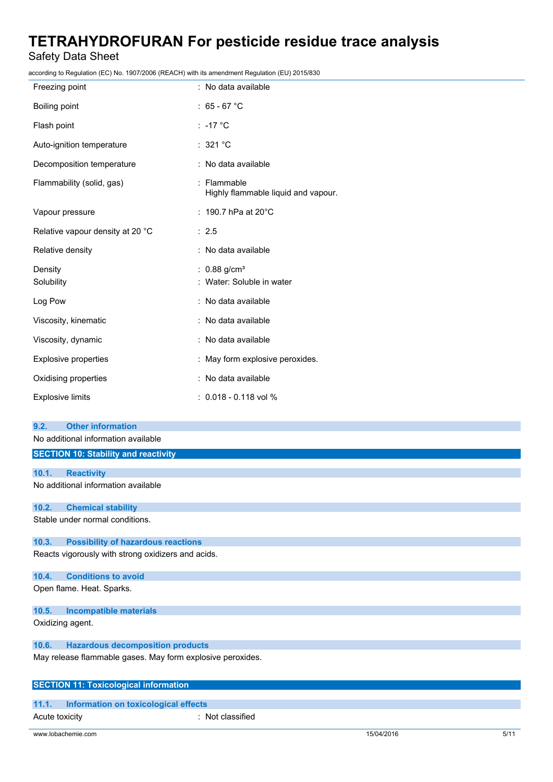# Safety Data Sheet

according to Regulation (EC) No. 1907/2006 (REACH) with its amendment Regulation (EU) 2015/830

| iccording to regulation (EO) No. Toon/2000 (NE/NOTT) with its amenament regulation (EO) 2010/000 |                                                         |
|--------------------------------------------------------------------------------------------------|---------------------------------------------------------|
| Freezing point                                                                                   | : No data available                                     |
| Boiling point                                                                                    | : $65 - 67$ °C                                          |
| Flash point                                                                                      | : -17 $^{\circ}$ C                                      |
| Auto-ignition temperature                                                                        | : 321 °C                                                |
| Decomposition temperature                                                                        | : No data available                                     |
| Flammability (solid, gas)                                                                        | : Flammable<br>Highly flammable liquid and vapour.      |
| Vapour pressure                                                                                  | : 190.7 hPa at 20°C                                     |
| Relative vapour density at 20 °C                                                                 | : 2.5                                                   |
| Relative density                                                                                 | : No data available                                     |
| Density<br>Solubility                                                                            | : $0.88$ g/cm <sup>3</sup><br>: Water: Soluble in water |
| Log Pow                                                                                          | : No data available                                     |
| Viscosity, kinematic                                                                             | : No data available                                     |
| Viscosity, dynamic                                                                               | : No data available                                     |
| <b>Explosive properties</b>                                                                      | : May form explosive peroxides.                         |
| Oxidising properties                                                                             | : No data available                                     |
| <b>Explosive limits</b>                                                                          | $: 0.018 - 0.118$ vol %                                 |
| <b>Other information</b><br>9.2.                                                                 |                                                         |
| No additional information available                                                              |                                                         |
| <b>SECTION 10: Stability and reactivity</b>                                                      |                                                         |
| <b>Reactivity</b><br>10.1.                                                                       |                                                         |
| No additional information available                                                              |                                                         |
|                                                                                                  |                                                         |
| 10.2.<br><b>Chemical stability</b>                                                               |                                                         |
| Stable under normal conditions.                                                                  |                                                         |
| 10.3.<br><b>Possibility of hazardous reactions</b>                                               |                                                         |
| Reacts vigorously with strong oxidizers and acids.                                               |                                                         |
| <b>Conditions to avoid</b><br>10.4.                                                              |                                                         |

Open flame. Heat. Sparks.

## **10.5. Incompatible materials**

Oxidizing agent.

# **10.6. Hazardous decomposition products**

May release flammable gases. May form explosive peroxides.

# **SECTION 11: Toxicological information**

# **11.1. Information on toxicological effects**

Acute toxicity : Not classified

www.lobachemie.com 5/11 5/04/2016 5/11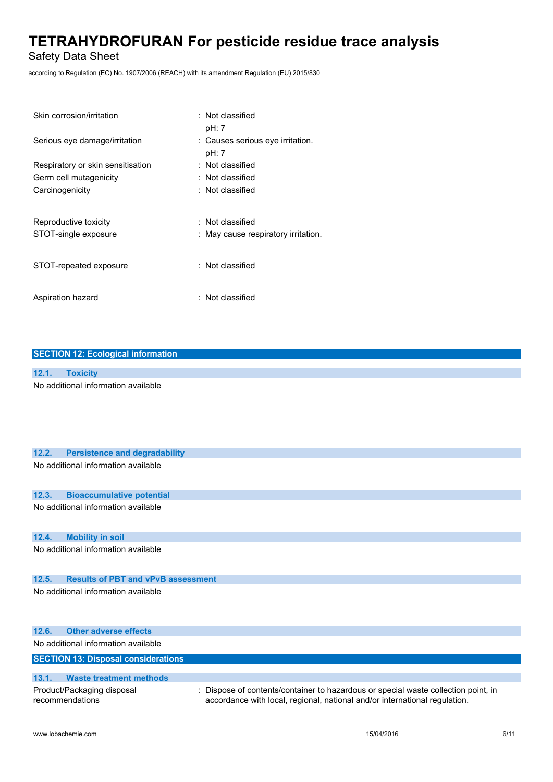Safety Data Sheet

according to Regulation (EC) No. 1907/2006 (REACH) with its amendment Regulation (EU) 2015/830

| Skin corrosion/irritation         | $\therefore$ Not classified<br>pH: 7      |
|-----------------------------------|-------------------------------------------|
| Serious eye damage/irritation     | : Causes serious eye irritation.<br>pH: 7 |
| Respiratory or skin sensitisation | : Not classified                          |
| Germ cell mutagenicity            | $\therefore$ Not classified               |
| Carcinogenicity                   | : Not classified                          |
| Reproductive toxicity             | : Not classified                          |
| STOT-single exposure              | : May cause respiratory irritation.       |
| STOT-repeated exposure            | : Not classified                          |
| Aspiration hazard                 | : Not classified                          |

## **SECTION 12: Ecological information**

# **12.1. Toxicity**

No additional information available

# **12.2. Persistence and degradability**

No additional information available

#### **12.3. Bioaccumulative potential**

No additional information available

#### **12.4. Mobility in soil**

No additional information available

# **12.5. Results of PBT and vPvB assessment**

No additional information available

|       | 12.6. Other adverse effects                   |                                                                                                                                                                  |
|-------|-----------------------------------------------|------------------------------------------------------------------------------------------------------------------------------------------------------------------|
|       | No additional information available           |                                                                                                                                                                  |
|       | <b>SECTION 13: Disposal considerations</b>    |                                                                                                                                                                  |
|       |                                               |                                                                                                                                                                  |
| 13.1. | <b>Waste treatment methods</b>                |                                                                                                                                                                  |
|       | Product/Packaging disposal<br>recommendations | : Dispose of contents/container to hazardous or special waste collection point, in<br>accordance with local, regional, national and/or international regulation. |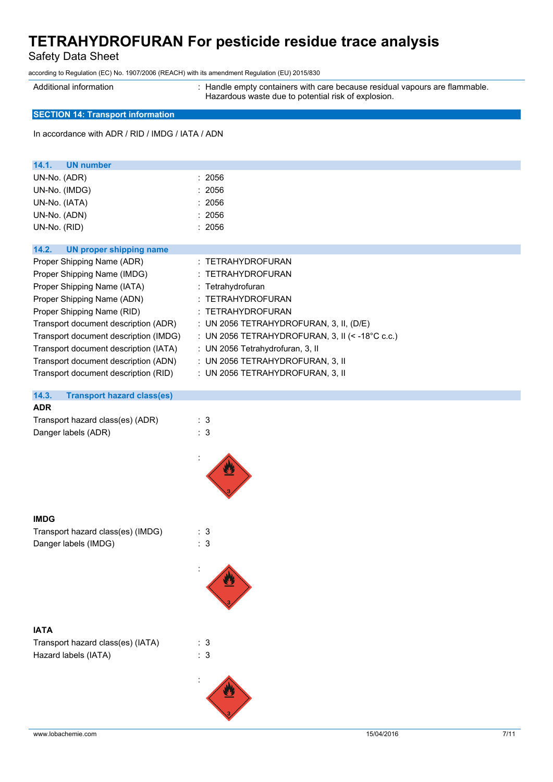Safety Data Sheet

according to Regulation (EC) No. 1907/2006 (REACH) with its amendment Regulation (EU) 2015/830

Additional information : Handle empty containers with care because residual vapours are flammable. Hazardous waste due to potential risk of explosion.

# **SECTION 14: Transport information**

In accordance with ADR / RID / IMDG / IATA / ADN

| <b>UN number</b><br>14.1.                  |                                                            |
|--------------------------------------------|------------------------------------------------------------|
| UN-No. (ADR)                               | : 2056                                                     |
| UN-No. (IMDG)                              | : 2056                                                     |
| UN-No. (IATA)                              | : 2056                                                     |
| UN-No. (ADN)                               | : 2056                                                     |
| UN-No. (RID)                               | : 2056                                                     |
| UN proper shipping name<br>14.2.           |                                                            |
|                                            |                                                            |
| Proper Shipping Name (ADR)                 | : TETRAHYDROFURAN                                          |
| Proper Shipping Name (IMDG)                | : TETRAHYDROFURAN                                          |
| Proper Shipping Name (IATA)                | : Tetrahydrofuran                                          |
| Proper Shipping Name (ADN)                 | : TETRAHYDROFURAN                                          |
| Proper Shipping Name (RID)                 | : TETRAHYDROFURAN                                          |
| Transport document description (ADR)       | : UN 2056 TETRAHYDROFURAN, 3, II, (D/E)                    |
| Transport document description (IMDG)      | : UN 2056 TETRAHYDROFURAN, 3, II (< -18 $^{\circ}$ C c.c.) |
| Transport document description (IATA)      | : UN 2056 Tetrahydrofuran, 3, II                           |
| Transport document description (ADN)       | : UN 2056 TETRAHYDROFURAN, 3, II                           |
| Transport document description (RID)       | : UN 2056 TETRAHYDROFURAN, 3, II                           |
| 14.3.<br><b>Transport hazard class(es)</b> |                                                            |

#### **ADR**

| Transport hazard class(es) (ADR) | : 3 |
|----------------------------------|-----|
| Danger labels (ADR)              | : 3 |



#### **IMDG**

| Transport hazard class(es) (IMDG) | : 3 |
|-----------------------------------|-----|
| Danger labels (IMDG)              | : 3 |

# :

:

## **IATA**

| Transport hazard class(es) (IATA) | : 3 |
|-----------------------------------|-----|
| Hazard labels (IATA)              | : 3 |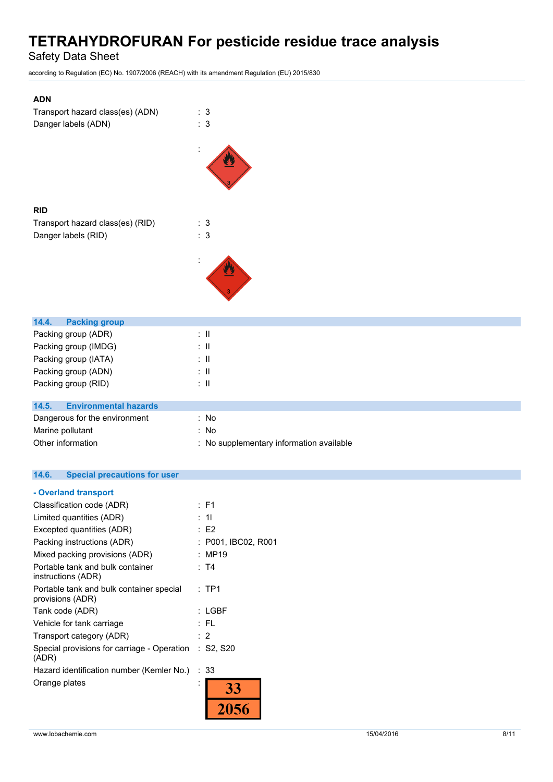Safety Data Sheet

according to Regulation (EC) No. 1907/2006 (REACH) with its amendment Regulation (EU) 2015/830

| <b>ADN</b>                       |                   |
|----------------------------------|-------------------|
| Transport hazard class(es) (ADN) | : 3               |
| Danger labels (ADN)              | : 3               |
|                                  |                   |
|                                  |                   |
| <b>RID</b>                       |                   |
| Transport hazard class(es) (RID) | 3                 |
| Danger labels (RID)              | 3                 |
|                                  |                   |
|                                  |                   |
| 14.4.<br><b>Packing group</b>    |                   |
| Packing group (ADR)              | $\mathbf{H}$      |
| Packing group (IMDG)             | $\mathbf{I}$      |
| Packing group (IATA)             | $\mathbf{I}$      |
| Packing group (ADN)              | $\mathbf{I}$      |
| Packing group (RID)              | $\mathbf{I}$<br>۰ |

| 14.5.<br><b>Environmental hazards</b> |                                          |
|---------------------------------------|------------------------------------------|
| Dangerous for the environment         | : No                                     |
| Marine pollutant                      | : No                                     |
| Other information                     | : No supplementary information available |

# **14.6. Special precautions for user**

| - Overland transport                                           |                     |
|----------------------------------------------------------------|---------------------|
| Classification code (ADR)                                      | $:$ F1              |
| Limited quantities (ADR)                                       | : 11                |
| Excepted quantities (ADR)                                      | E2                  |
| Packing instructions (ADR)                                     | : P001, IBC02, R001 |
| Mixed packing provisions (ADR)                                 | : MP19              |
| Portable tank and bulk container<br>instructions (ADR)         | : T4                |
| Portable tank and bulk container special<br>provisions (ADR)   | $:$ TP1             |
| Tank code (ADR)                                                | : LGBF              |
| Vehicle for tank carriage                                      | : FL                |
| Transport category (ADR)                                       | $\cdot$ 2           |
| Special provisions for carriage - Operation : S2, S20<br>(ADR) |                     |
| Hazard identification number (Kemler No.)                      | : 33                |
| Orange plates                                                  | 33                  |
|                                                                |                     |
|                                                                |                     |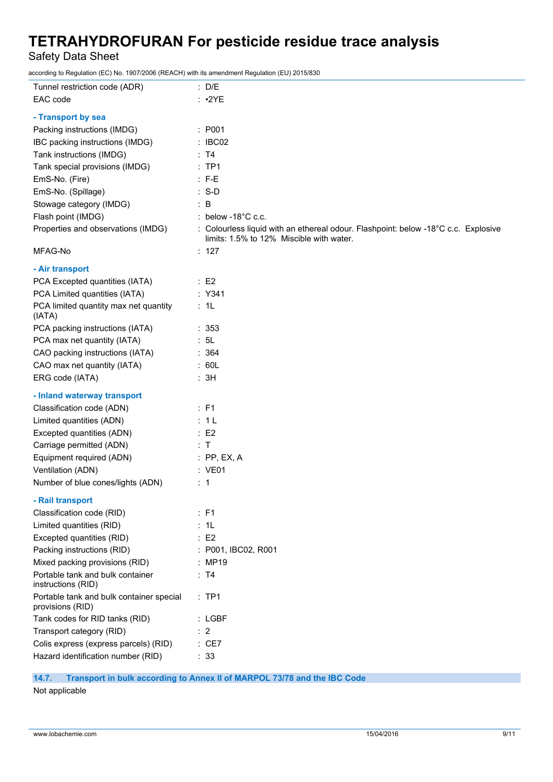Safety Data Sheet

according to Regulation (EC) No. 1907/2006 (REACH) with its amendment Regulation (EU) 2015/830

| Tunnel restriction code (ADR)                                | : D/E                                                                                                                          |
|--------------------------------------------------------------|--------------------------------------------------------------------------------------------------------------------------------|
| EAC code                                                     | $:$ •2YE                                                                                                                       |
| - Transport by sea                                           |                                                                                                                                |
| Packing instructions (IMDG)                                  | : P001                                                                                                                         |
| IBC packing instructions (IMDG)                              | : IBCO2                                                                                                                        |
| Tank instructions (IMDG)                                     | : T4                                                                                                                           |
| Tank special provisions (IMDG)                               | $:$ TP1                                                                                                                        |
| EmS-No. (Fire)                                               | $: F-E$                                                                                                                        |
| EmS-No. (Spillage)                                           | $: S-D$                                                                                                                        |
| Stowage category (IMDG)                                      | $\therefore$ B                                                                                                                 |
| Flash point (IMDG)                                           | : below -18 $^{\circ}$ C c.c.                                                                                                  |
| Properties and observations (IMDG)                           | : Colourless liquid with an ethereal odour. Flashpoint: below -18°C c.c. Explosive<br>limits: 1.5% to 12% Miscible with water. |
| MFAG-No                                                      | : 127                                                                                                                          |
| - Air transport                                              |                                                                                                                                |
| PCA Excepted quantities (IATA)                               | $\therefore$ E2                                                                                                                |
| PCA Limited quantities (IATA)                                | $:$ Y341                                                                                                                       |
| PCA limited quantity max net quantity<br>(IATA)              | : 1L                                                                                                                           |
| PCA packing instructions (IATA)                              | : 353                                                                                                                          |
| PCA max net quantity (IATA)                                  | : 5L                                                                                                                           |
| CAO packing instructions (IATA)                              | : 364                                                                                                                          |
| CAO max net quantity (IATA)                                  | : 60L                                                                                                                          |
| ERG code (IATA)                                              | : 3H                                                                                                                           |
| - Inland waterway transport                                  |                                                                                                                                |
| Classification code (ADN)                                    | $\therefore$ F1                                                                                                                |
| Limited quantities (ADN)                                     | : 1L                                                                                                                           |
| Excepted quantities (ADN)                                    | $\therefore$ E2                                                                                                                |
| Carriage permitted (ADN)                                     | : T                                                                                                                            |
| Equipment required (ADN)                                     | $:$ PP, EX, A                                                                                                                  |
| Ventilation (ADN)                                            | : VE01                                                                                                                         |
| Number of blue cones/lights (ADN)                            | $\therefore$ 1                                                                                                                 |
| - Rail transport                                             |                                                                                                                                |
| Classification code (RID)                                    | : F1                                                                                                                           |
| Limited quantities (RID)                                     | : 1L                                                                                                                           |
| Excepted quantities (RID)                                    | $\therefore$ E2                                                                                                                |
| Packing instructions (RID)                                   | : P001, IBC02, R001                                                                                                            |
| Mixed packing provisions (RID)                               | : MP19                                                                                                                         |
| Portable tank and bulk container<br>instructions (RID)       | : T4                                                                                                                           |
| Portable tank and bulk container special<br>provisions (RID) | $:$ TP1                                                                                                                        |
| Tank codes for RID tanks (RID)                               | $:$ LGBF                                                                                                                       |
| Transport category (RID)                                     | $\therefore$ 2                                                                                                                 |
| Colis express (express parcels) (RID)                        | : CE7                                                                                                                          |
| Hazard identification number (RID)                           | : 33                                                                                                                           |

**14.7. Transport in bulk according to Annex II of MARPOL 73/78 and the IBC Code**

Not applicable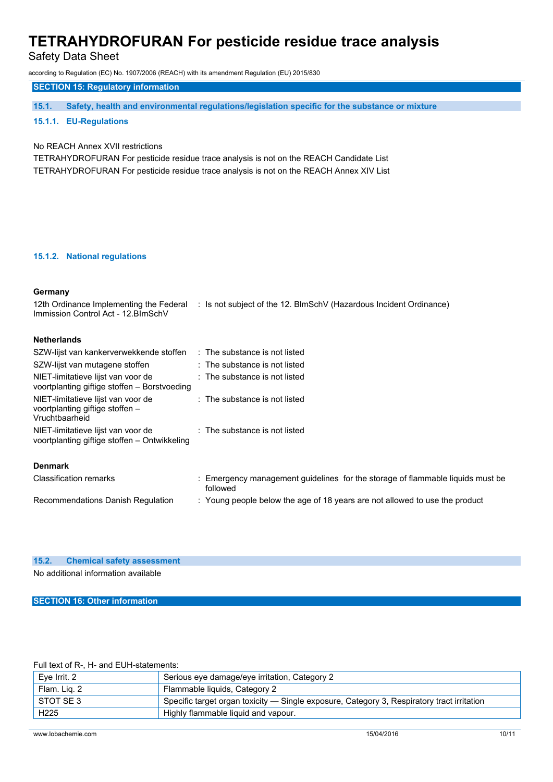Safety Data Sheet

according to Regulation (EC) No. 1907/2006 (REACH) with its amendment Regulation (EU) 2015/830

# **SECTION 15: Regulatory information**

**15.1. Safety, health and environmental regulations/legislation specific for the substance or mixture**

## **15.1.1. EU-Regulations**

## No REACH Annex XVII restrictions

TETRAHYDROFURAN For pesticide residue trace analysis is not on the REACH Candidate List TETRAHYDROFURAN For pesticide residue trace analysis is not on the REACH Annex XIV List

#### **15.1.2. National regulations**

## **Germany**

| 12th Ordinance Implementing the Federal<br>Immission Control Act - 12. BlmSchV          | : Is not subject of the 12. BlmSchV (Hazardous Incident Ordinance)                         |
|-----------------------------------------------------------------------------------------|--------------------------------------------------------------------------------------------|
| <b>Netherlands</b>                                                                      |                                                                                            |
| SZW-lijst van kankerverwekkende stoffen                                                 | $\therefore$ The substance is not listed                                                   |
| SZW-lijst van mutagene stoffen                                                          | $\therefore$ The substance is not listed                                                   |
| NIET-limitatieve lijst van voor de<br>voortplanting giftige stoffen – Borstvoeding      | : The substance is not listed                                                              |
| NIET-limitatieve lijst van voor de<br>voortplanting giftige stoffen -<br>Vruchtbaarheid | : The substance is not listed                                                              |
| NIET-limitatieve lijst van voor de<br>voortplanting giftige stoffen – Ontwikkeling      | $\therefore$ The substance is not listed                                                   |
| <b>Denmark</b>                                                                          |                                                                                            |
| <b>Classification remarks</b>                                                           | : Emergency management guidelines for the storage of flammable liquids must be<br>followed |
| Recommendations Danish Regulation                                                       | : Young people below the age of 18 years are not allowed to use the product                |
|                                                                                         |                                                                                            |

#### **15.2. Chemical safety assessment**

No additional information available

**SECTION 16: Other information**

## Full text of R-, H- and EUH-statements:

| Eve Irrit. 2     | Serious eye damage/eye irritation, Category 2                                              |
|------------------|--------------------------------------------------------------------------------------------|
| Flam. Lig. 2     | Flammable liquids, Category 2                                                              |
| STOT SE 3        | Specific target organ toxicity — Single exposure, Category 3, Respiratory tract irritation |
| H <sub>225</sub> | Highly flammable liquid and vapour.                                                        |

#### www.lobachemie.com 15/04/2016 10/11